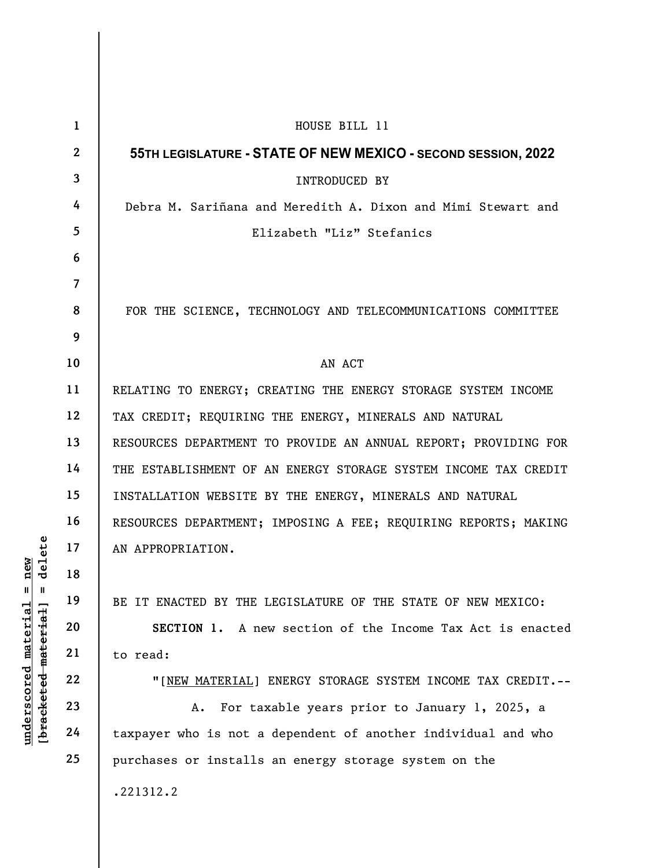|                                                                                           | $\mathbf{1}$   | HOUSE BILL 11                                                   |
|-------------------------------------------------------------------------------------------|----------------|-----------------------------------------------------------------|
| delete<br>new<br>$^{\mathsf{II}}$<br>- II<br>underscored material<br>[bracketed material] | $\mathbf{2}$   | 55TH LEGISLATURE - STATE OF NEW MEXICO - SECOND SESSION, 2022   |
|                                                                                           | $\mathbf{3}$   | <b>INTRODUCED BY</b>                                            |
|                                                                                           | 4              | Debra M. Sariñana and Meredith A. Dixon and Mimi Stewart and    |
|                                                                                           | 5 <sup>5</sup> | Elizabeth "Liz" Stefanics                                       |
|                                                                                           | 6              |                                                                 |
|                                                                                           | $\overline{7}$ |                                                                 |
|                                                                                           | 8              | FOR THE SCIENCE, TECHNOLOGY AND TELECOMMUNICATIONS COMMITTEE    |
|                                                                                           | 9              |                                                                 |
|                                                                                           | 10             | AN ACT                                                          |
|                                                                                           | 11             | RELATING TO ENERGY; CREATING THE ENERGY STORAGE SYSTEM INCOME   |
|                                                                                           | 12             | TAX CREDIT; REQUIRING THE ENERGY, MINERALS AND NATURAL          |
|                                                                                           | 13             | RESOURCES DEPARTMENT TO PROVIDE AN ANNUAL REPORT; PROVIDING FOR |
|                                                                                           | 14             | THE ESTABLISHMENT OF AN ENERGY STORAGE SYSTEM INCOME TAX CREDIT |
|                                                                                           | 15             | INSTALLATION WEBSITE BY THE ENERGY, MINERALS AND NATURAL        |
|                                                                                           | 16             | RESOURCES DEPARTMENT; IMPOSING A FEE; REQUIRING REPORTS; MAKING |
|                                                                                           | 17             | AN APPROPRIATION.                                               |
|                                                                                           | 18             |                                                                 |
|                                                                                           | 19             | BE IT ENACTED BY THE LEGISLATURE OF THE STATE OF NEW MEXICO:    |
|                                                                                           | 20             | SECTION 1. A new section of the Income Tax Act is enacted       |
|                                                                                           | 21             | to read:                                                        |
|                                                                                           | 22             | "[NEW MATERIAL] ENERGY STORAGE SYSTEM INCOME TAX CREDIT.--      |
|                                                                                           | 23             | For taxable years prior to January 1, 2025, a<br>Α.             |
|                                                                                           | 24             | taxpayer who is not a dependent of another individual and who   |
|                                                                                           | 25             | purchases or installs an energy storage system on the           |
|                                                                                           |                | .221312.2                                                       |
|                                                                                           |                |                                                                 |

 $\overline{\phantom{a}}$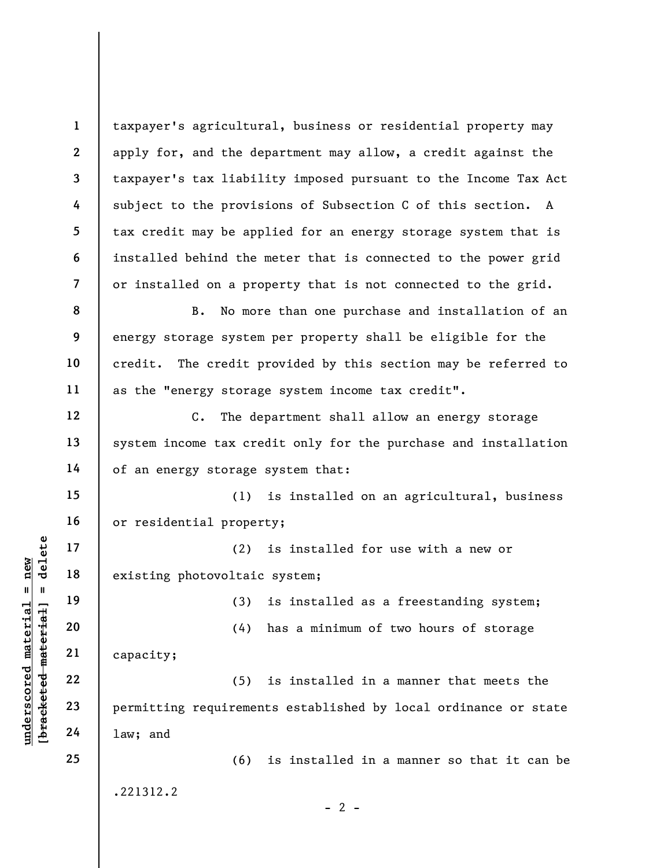underscored material material material existing photovoltaic<br>
existing photovoltaic<br>
algebracketed material capacity;<br>
22<br>
23<br>
24 1aw; and 1 2 3 4 5 6 7 8 9 10 11 12 13 14 15 16 17 18 19 20 21 22 23 24 25 taxpayer's agricultural, business or residential property may apply for, and the department may allow, a credit against the taxpayer's tax liability imposed pursuant to the Income Tax Act subject to the provisions of Subsection C of this section. A tax credit may be applied for an energy storage system that is installed behind the meter that is connected to the power grid or installed on a property that is not connected to the grid. B. No more than one purchase and installation of an energy storage system per property shall be eligible for the credit. The credit provided by this section may be referred to as the "energy storage system income tax credit". C. The department shall allow an energy storage system income tax credit only for the purchase and installation of an energy storage system that: (1) is installed on an agricultural, business or residential property; (2) is installed for use with a new or existing photovoltaic system; (3) is installed as a freestanding system; (4) has a minimum of two hours of storage capacity; (5) is installed in a manner that meets the permitting requirements established by local ordinance or state law; and (6) is installed in a manner so that it can be .221312.2  $- 2 -$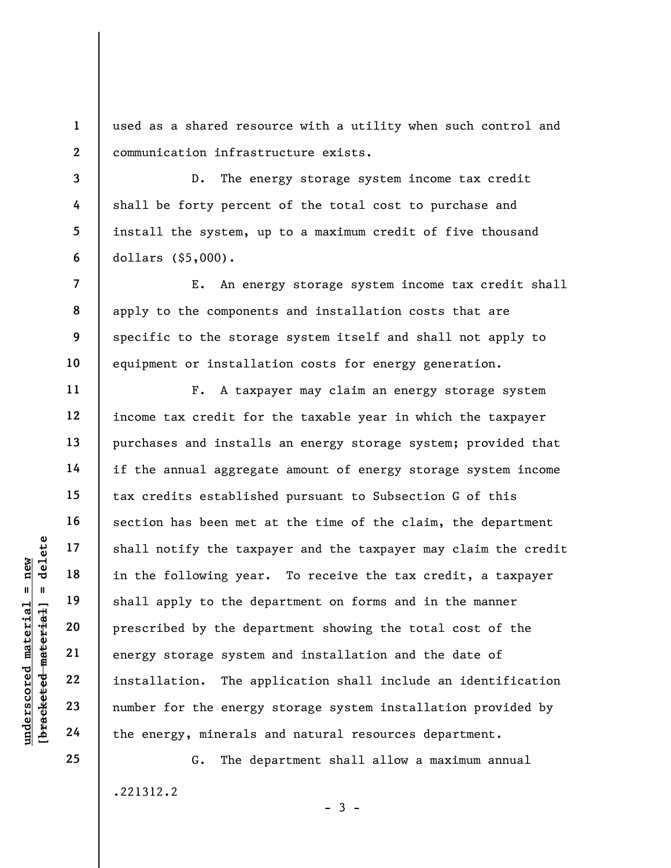1 2 used as a shared resource with a utility when such control and communication infrastructure exists.

D. The energy storage system income tax credit shall be forty percent of the total cost to purchase and install the system, up to a maximum credit of five thousand dollars (\$5,000).

E. An energy storage system income tax credit shall apply to the components and installation costs that are specific to the storage system itself and shall not apply to equipment or installation costs for energy generation.

under 17<br>
= 18<br>
= 18<br>
= 19<br>
= 19<br>
= 19<br>
= 19<br>
= 19<br>
= 19<br>
= 19<br>
= 19<br>
= 19<br>
= 19<br>
= 19<br>
= 19<br>
= 19<br>
= 19<br>
= 19<br>
= 19<br>
= 19<br>
= 19<br>
= 19<br>
= 19<br>
= 19<br>
= 19<br>
= 19<br>
= 19<br>
= 19<br>
= 19<br>
= 19<br>
= 19<br>
= 19<br>
= 19<br>
= 19<br>
= 19<br>
= 19<br>
= F. A taxpayer may claim an energy storage system income tax credit for the taxable year in which the taxpayer purchases and installs an energy storage system; provided that if the annual aggregate amount of energy storage system income tax credits established pursuant to Subsection G of this section has been met at the time of the claim, the department shall notify the taxpayer and the taxpayer may claim the credit in the following year. To receive the tax credit, a taxpayer shall apply to the department on forms and in the manner prescribed by the department showing the total cost of the energy storage system and installation and the date of installation. The application shall include an identification number for the energy storage system installation provided by the energy, minerals and natural resources department.

> G. The department shall allow a maximum annual .221312.2  $-3 -$

25

3

4

5

6

7

8

9

10

11

12

13

14

15

16

17

18

19

20

21

22

23

24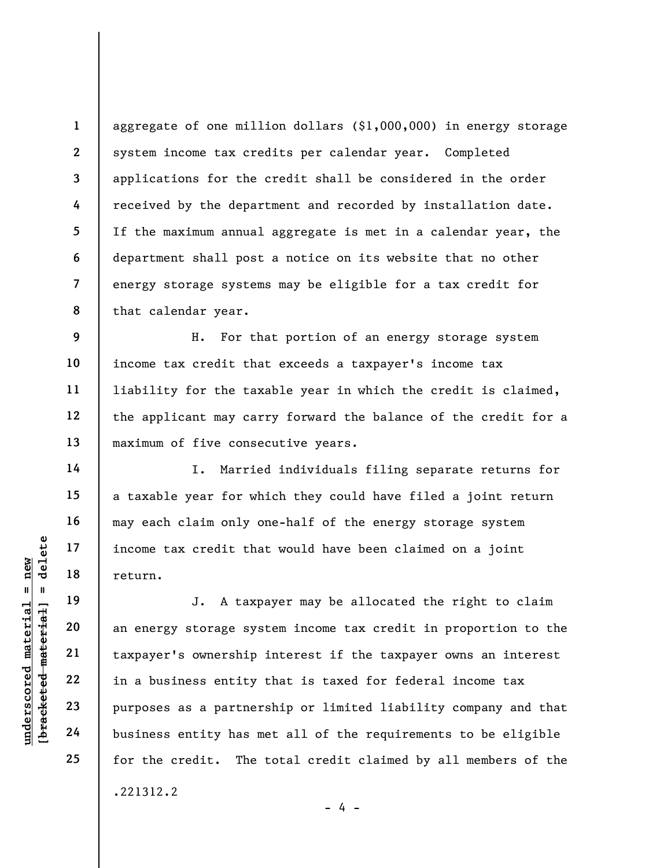2 3 7 8 aggregate of one million dollars (\$1,000,000) in energy storage system income tax credits per calendar year. Completed applications for the credit shall be considered in the order received by the department and recorded by installation date. If the maximum annual aggregate is met in a calendar year, the department shall post a notice on its website that no other energy storage systems may be eligible for a tax credit for that calendar year.

9 10 11 12 13 H. For that portion of an energy storage system income tax credit that exceeds a taxpayer's income tax liability for the taxable year in which the credit is claimed, the applicant may carry forward the balance of the credit for a maximum of five consecutive years.

I. Married individuals filing separate returns for a taxable year for which they could have filed a joint return may each claim only one-half of the energy storage system income tax credit that would have been claimed on a joint return.

underschiff and the settlement of the settlement of the settlement of the settlement of the settlement of the settlement of the settlement of the settlement of the settlement of the settlement of the settlement of the sett J. A taxpayer may be allocated the right to claim an energy storage system income tax credit in proportion to the taxpayer's ownership interest if the taxpayer owns an interest in a business entity that is taxed for federal income tax purposes as a partnership or limited liability company and that business entity has met all of the requirements to be eligible for the credit. The total credit claimed by all members of the .221312.2

1

4

5

6

14

15

16

17

18

19

20

21

22

23

24

25

- 4 -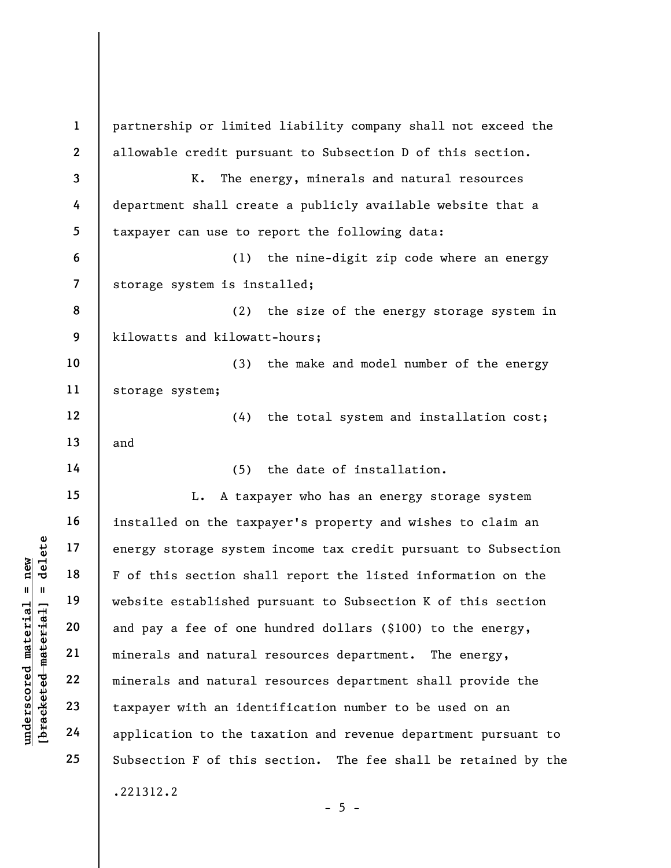under 17<br>
= 18<br>
= 18<br>
= 19<br>
= 19<br>
= 19<br>
= 19<br>
= 19<br>
= 19<br>
= 19<br>
= 19<br>
= 19<br>
= 19<br>
= 19<br>
= 19<br>
= 19<br>
= 19<br>
= 19<br>
21<br>
= 19<br>
= 19<br>
= 19<br>
= 19<br>
= 19<br>
= 19<br>
= 19<br>
= 19<br>
= 19<br>
= 19<br>
= 19<br>
= 19<br>
= 19<br>
= 19<br>
= 19<br>
= 19<br>
= 19<br>
= 19 1 2 3 4 5 6 7 8 9 10 11 12 13 14 15 16 17 18 19 20 21 22 23 24 25 partnership or limited liability company shall not exceed the allowable credit pursuant to Subsection D of this section. K. The energy, minerals and natural resources department shall create a publicly available website that a taxpayer can use to report the following data: (1) the nine-digit zip code where an energy storage system is installed; (2) the size of the energy storage system in kilowatts and kilowatt-hours; (3) the make and model number of the energy storage system; (4) the total system and installation cost; and (5) the date of installation. L. A taxpayer who has an energy storage system installed on the taxpayer's property and wishes to claim an energy storage system income tax credit pursuant to Subsection F of this section shall report the listed information on the website established pursuant to Subsection K of this section and pay a fee of one hundred dollars (\$100) to the energy, minerals and natural resources department. The energy, minerals and natural resources department shall provide the taxpayer with an identification number to be used on an application to the taxation and revenue department pursuant to Subsection F of this section. The fee shall be retained by the .221312.2  $- 5 -$